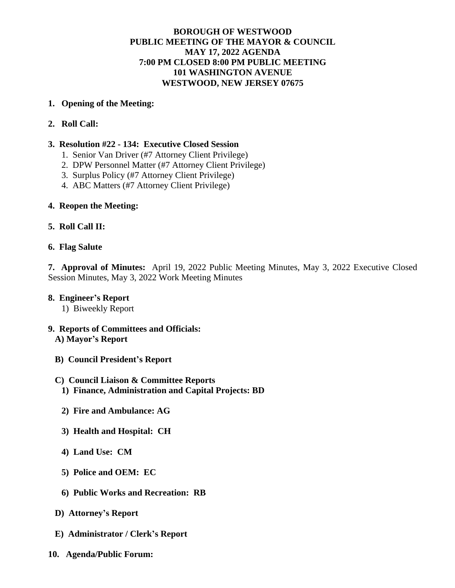## **BOROUGH OF WESTWOOD PUBLIC MEETING OF THE MAYOR & COUNCIL MAY 17, 2022 AGENDA 7:00 PM CLOSED 8:00 PM PUBLIC MEETING 101 WASHINGTON AVENUE WESTWOOD, NEW JERSEY 07675**

### **1. Opening of the Meeting:**

**2. Roll Call:**

### **3. Resolution #22 - 134: Executive Closed Session**

- 1. Senior Van Driver (#7 Attorney Client Privilege)
- 2. DPW Personnel Matter (#7 Attorney Client Privilege)
- 3. Surplus Policy (#7 Attorney Client Privilege)
- 4. ABC Matters (#7 Attorney Client Privilege)

## **4. Reopen the Meeting:**

## **5. Roll Call II:**

#### **6. Flag Salute**

**7. Approval of Minutes:** April 19, 2022 Public Meeting Minutes, May 3, 2022 Executive Closed Session Minutes, May 3, 2022 Work Meeting Minutes

#### **8. Engineer's Report**

1) Biweekly Report

#### **9. Reports of Committees and Officials: A) Mayor's Report**

**B) Council President's Report**

#### **C) Council Liaison & Committee Reports**

- **1) Finance, Administration and Capital Projects: BD**
- **2) Fire and Ambulance: AG**
- **3) Health and Hospital: CH**
- **4) Land Use: CM**
- **5) Police and OEM: EC**
- **6) Public Works and Recreation: RB**
- **D) Attorney's Report**
- **E) Administrator / Clerk's Report**
- **10. Agenda/Public Forum:**